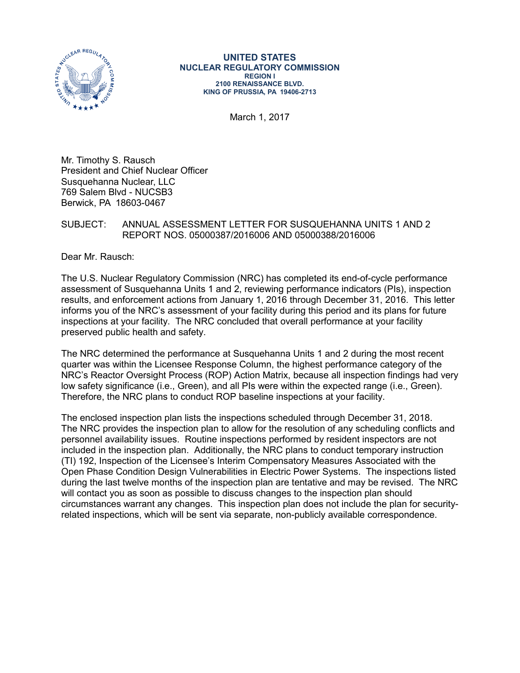

**UNITED STATES NUCLEAR REGULATORY COMMISSION REGION I 2100 RENAISSANCE BLVD. KING OF PRUSSIA, PA 19406-2713**

March 1, 2017

Mr. Timothy S. Rausch President and Chief Nuclear Officer Susquehanna Nuclear, LLC 769 Salem Blvd - NUCSB3 Berwick, PA 18603-0467

## SUBJECT: ANNUAL ASSESSMENT LETTER FOR SUSQUEHANNA UNITS 1 AND 2 REPORT NOS. 05000387/2016006 AND 05000388/2016006

Dear Mr. Rausch:

The U.S. Nuclear Regulatory Commission (NRC) has completed its end-of-cycle performance assessment of Susquehanna Units 1 and 2, reviewing performance indicators (PIs), inspection results, and enforcement actions from January 1, 2016 through December 31, 2016. This letter informs you of the NRC's assessment of your facility during this period and its plans for future inspections at your facility. The NRC concluded that overall performance at your facility preserved public health and safety.

The NRC determined the performance at Susquehanna Units 1 and 2 during the most recent quarter was within the Licensee Response Column, the highest performance category of the NRC's Reactor Oversight Process (ROP) Action Matrix, because all inspection findings had very low safety significance (i.e., Green), and all PIs were within the expected range (i.e., Green). Therefore, the NRC plans to conduct ROP baseline inspections at your facility.

The enclosed inspection plan lists the inspections scheduled through December 31, 2018. The NRC provides the inspection plan to allow for the resolution of any scheduling conflicts and personnel availability issues. Routine inspections performed by resident inspectors are not included in the inspection plan. Additionally, the NRC plans to conduct temporary instruction (TI) 192, Inspection of the Licensee's Interim Compensatory Measures Associated with the Open Phase Condition Design Vulnerabilities in Electric Power Systems. The inspections listed during the last twelve months of the inspection plan are tentative and may be revised. The NRC will contact you as soon as possible to discuss changes to the inspection plan should circumstances warrant any changes. This inspection plan does not include the plan for securityrelated inspections, which will be sent via separate, non-publicly available correspondence.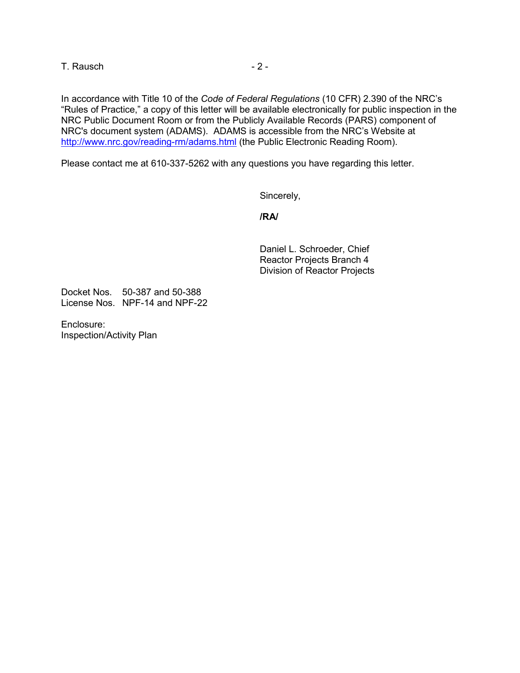T. Rausch and the contract of the 2 -

In accordance with Title 10 of the *Code of Federal Regulations* (10 CFR) 2.390 of the NRC's "Rules of Practice," a copy of this letter will be available electronically for public inspection in the NRC Public Document Room or from the Publicly Available Records (PARS) component of NRC's document system (ADAMS). ADAMS is accessible from the NRC's Website at <http://www.nrc.gov/reading-rm/adams.html> (the Public Electronic Reading Room).

Please contact me at 610-337-5262 with any questions you have regarding this letter.

Sincerely,

**/RA/**

Daniel L. Schroeder, Chief Reactor Projects Branch 4 Division of Reactor Projects

Docket Nos. 50-387 and 50-388 License Nos. NPF-14 and NPF-22

Enclosure: Inspection/Activity Plan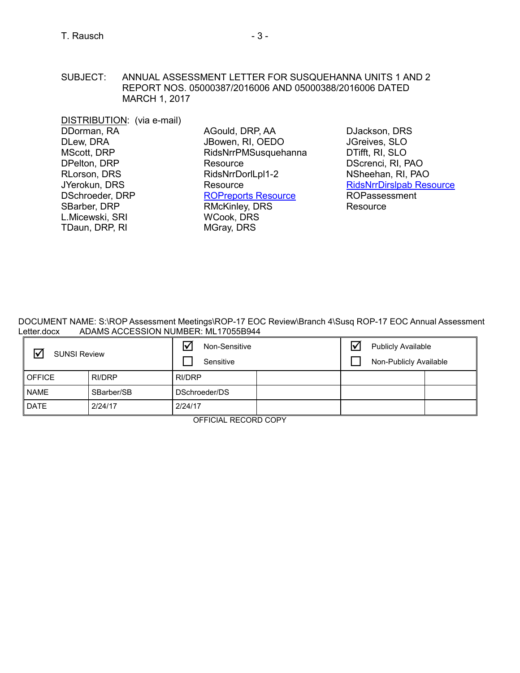DISTRIBUTION: (via e-mail) DDorman, RA DLew, DRA MScott, DRP DPelton, DRP RLorson, DRS JYerokun, DRS DSchroeder, DRP SBarber, DRP L.Micewski, SRI TDaun, DRP, RI

AGould, DRP, AA JBowen, RI, OEDO RidsNrrPMSusquehanna **Resource** RidsNrrDorlLpl1-2 **Resource** ROPreports Resource RMcKinley, DRS WCook, DRS MGray, DRS

DJackson, DRS JGreives, SLO DTifft, RI, SLO DScrenci, RI, PAO NSheehan, RI, PAO [RidsNrrDirslpab Resource](mailto:RidsNrrDirslpab@nrc.gov)  ROPassessment **Resource** 

DOCUMENT NAME: S:\ROP Assessment Meetings\ROP-17 EOC Review\Branch 4\Susq ROP-17 EOC Annual Assessment Letter.docx ADAMS ACCESSION NUMBER: ML17055B944

| 冈<br><b>SUNSI Review</b> |            | Non-Sensitive<br>Sensitive |  | <b>Publicly Available</b><br>l٧<br>Non-Publicly Available |  |
|--------------------------|------------|----------------------------|--|-----------------------------------------------------------|--|
| <b>OFFICE</b>            | RI/DRP     | RI/DRP                     |  |                                                           |  |
| <b>NAME</b>              | SBarber/SB | DSchroeder/DS              |  |                                                           |  |
| DATE                     | 2/24/17    | 2/24/17                    |  |                                                           |  |

OFFICIAL RECORD COPY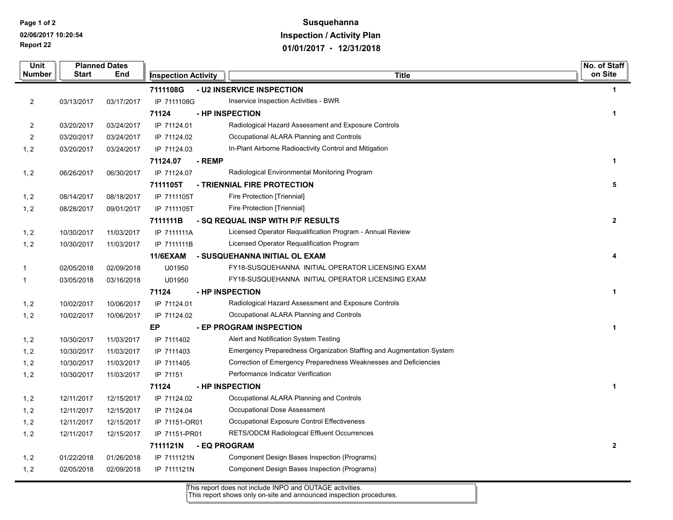**Report 22 Page 1 of 2 02/06/2017 10:20:54**

## **Susquehanna Inspection / Activity Plan 01/01/2017 - 12/31/2018**

| <b>Unit</b>             |              | <b>Planned Dates</b> |                            |              |                                                                      | No. of Staff         |
|-------------------------|--------------|----------------------|----------------------------|--------------|----------------------------------------------------------------------|----------------------|
| Number                  | <b>Start</b> | End                  | <b>Inspection Activity</b> |              | <b>Title</b>                                                         | on Site              |
|                         |              |                      | 7111108G                   |              | - U2 INSERVICE INSPECTION                                            | $\mathbf 1$          |
| $\overline{2}$          | 03/13/2017   | 03/17/2017           | IP 7111108G                |              | Inservice Inspection Activities - BWR                                |                      |
|                         |              |                      | 71124                      |              | - HP INSPECTION                                                      | $\mathbf{1}$         |
| $\overline{\mathbf{c}}$ | 03/20/2017   | 03/24/2017           | IP 71124.01                |              | Radiological Hazard Assessment and Exposure Controls                 |                      |
| $\overline{c}$          | 03/20/2017   | 03/24/2017           | IP 71124.02                |              | Occupational ALARA Planning and Controls                             |                      |
| 1, 2                    | 03/20/2017   | 03/24/2017           | IP 71124.03                |              | In-Plant Airborne Radioactivity Control and Mitigation               |                      |
|                         |              |                      | 71124.07                   | - REMP       |                                                                      | $\mathbf{1}$         |
| 1, 2                    | 06/26/2017   | 06/30/2017           | IP 71124.07                |              | Radiological Environmental Monitoring Program                        |                      |
|                         |              |                      | 7111105T                   |              | - TRIENNIAL FIRE PROTECTION                                          | 5                    |
| 1, 2                    | 08/14/2017   | 08/18/2017           | IP 7111105T                |              | Fire Protection [Triennial]                                          |                      |
| 1, 2                    | 08/28/2017   | 09/01/2017           | IP 7111105T                |              | Fire Protection [Triennial]                                          |                      |
|                         |              |                      | 7111111B                   |              | - SQ REQUAL INSP WITH P/F RESULTS                                    | $\overline{2}$       |
| 1, 2                    | 10/30/2017   | 11/03/2017           | IP 7111111A                |              | Licensed Operator Requalification Program - Annual Review            |                      |
| 1, 2                    | 10/30/2017   | 11/03/2017           | IP 7111111B                |              | Licensed Operator Requalification Program                            |                      |
|                         |              |                      | <b>11/6EXAM</b>            |              | - SUSQUEHANNA INITIAL OL EXAM                                        | 4                    |
| $\mathbf 1$             | 02/05/2018   | 02/09/2018           | U01950                     |              | FY18-SUSQUEHANNA INITIAL OPERATOR LICENSING EXAM                     |                      |
| 1                       | 03/05/2018   | 03/16/2018           | U01950                     |              | FY18-SUSQUEHANNA INITIAL OPERATOR LICENSING EXAM                     |                      |
|                         |              |                      | 71124                      |              | - HP INSPECTION                                                      | $\mathbf{1}$         |
| 1, 2                    | 10/02/2017   | 10/06/2017           | IP 71124.01                |              | Radiological Hazard Assessment and Exposure Controls                 |                      |
| 1, 2                    | 10/02/2017   | 10/06/2017           | IP 71124.02                |              | Occupational ALARA Planning and Controls                             |                      |
|                         |              |                      | EP                         |              | - EP PROGRAM INSPECTION                                              | $\mathbf{1}$         |
| 1, 2                    | 10/30/2017   | 11/03/2017           | IP 7111402                 |              | Alert and Notification System Testing                                |                      |
| 1, 2                    | 10/30/2017   | 11/03/2017           | IP 7111403                 |              | Emergency Preparedness Organization Staffing and Augmentation System |                      |
| 1, 2                    | 10/30/2017   | 11/03/2017           | IP 7111405                 |              | Correction of Emergency Preparedness Weaknesses and Deficiencies     |                      |
| 1, 2                    | 10/30/2017   | 11/03/2017           | IP 71151                   |              | Performance Indicator Verification                                   |                      |
|                         |              |                      | 71124                      |              | - HP INSPECTION                                                      | $\blacktriangleleft$ |
| 1, 2                    | 12/11/2017   | 12/15/2017           | IP 71124.02                |              | Occupational ALARA Planning and Controls                             |                      |
| 1, 2                    | 12/11/2017   | 12/15/2017           | IP 71124.04                |              | Occupational Dose Assessment                                         |                      |
| 1, 2                    | 12/11/2017   | 12/15/2017           | IP 71151-OR01              |              | Occupational Exposure Control Effectiveness                          |                      |
| 1, 2                    | 12/11/2017   | 12/15/2017           | IP 71151-PR01              |              | RETS/ODCM Radiological Effluent Occurrences                          |                      |
|                         |              |                      | 7111121N                   | - EQ PROGRAM |                                                                      | $\overline{2}$       |
| 1, 2                    | 01/22/2018   | 01/26/2018           | IP 7111121N                |              | Component Design Bases Inspection (Programs)                         |                      |
| 1, 2                    | 02/05/2018   | 02/09/2018           | IP 7111121N                |              | Component Design Bases Inspection (Programs)                         |                      |

This report does not include INPO and OUTAGE activities.

This report shows only on-site and announced inspection procedures.